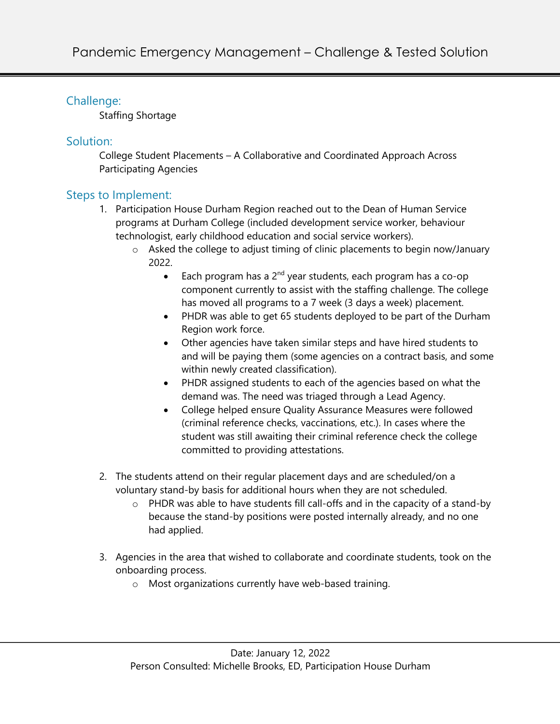## Challenge:

Staffing Shortage

### Solution:

College Student Placements – A Collaborative and Coordinated Approach Across Participating Agencies

### Steps to Implement:

- 1. Participation House Durham Region reached out to the Dean of Human Service programs at Durham College (included development service worker, behaviour technologist, early childhood education and social service workers).
	- o Asked the college to adjust timing of clinic placements to begin now/January 2022.
		- Each program has a  $2^{nd}$  year students, each program has a co-op component currently to assist with the staffing challenge. The college has moved all programs to a 7 week (3 days a week) placement.
		- PHDR was able to get 65 students deployed to be part of the Durham Region work force.
		- Other agencies have taken similar steps and have hired students to and will be paying them (some agencies on a contract basis, and some within newly created classification).
		- PHDR assigned students to each of the agencies based on what the demand was. The need was triaged through a Lead Agency.
		- College helped ensure Quality Assurance Measures were followed (criminal reference checks, vaccinations, etc.). In cases where the student was still awaiting their criminal reference check the college committed to providing attestations.
- 2. The students attend on their regular placement days and are scheduled/on a voluntary stand-by basis for additional hours when they are not scheduled.
	- o PHDR was able to have students fill call-offs and in the capacity of a stand-by because the stand-by positions were posted internally already, and no one had applied.
- 3. Agencies in the area that wished to collaborate and coordinate students, took on the onboarding process.
	- o Most organizations currently have web-based training.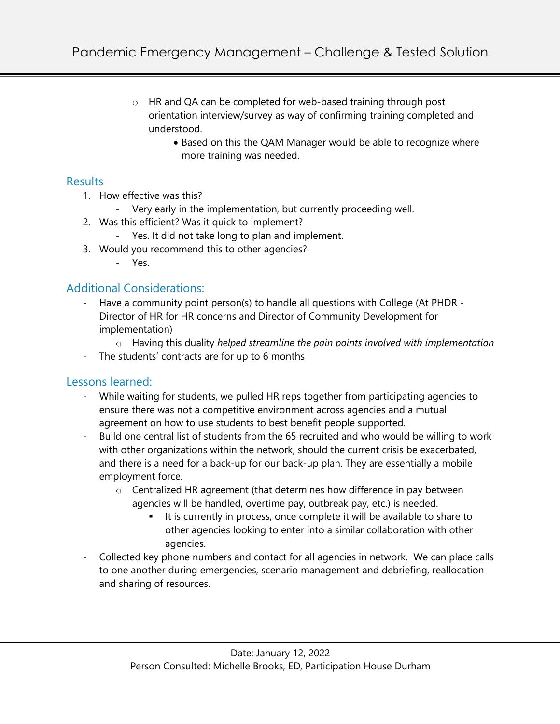- o HR and QA can be completed for web-based training through post orientation interview/survey as way of confirming training completed and understood.
	- Based on this the QAM Manager would be able to recognize where more training was needed.

#### **Results**

- 1. How effective was this?
	- Very early in the implementation, but currently proceeding well.
- 2. Was this efficient? Was it quick to implement?
	- Yes. It did not take long to plan and implement.
- 3. Would you recommend this to other agencies?
	- Yes.

# Additional Considerations:

- Have a community point person(s) to handle all questions with College (At PHDR Director of HR for HR concerns and Director of Community Development for implementation)
	- o Having this duality *helped streamline the pain points involved with implementation*
- The students' contracts are for up to 6 months

### Lessons learned:

- While waiting for students, we pulled HR reps together from participating agencies to ensure there was not a competitive environment across agencies and a mutual agreement on how to use students to best benefit people supported.
- Build one central list of students from the 65 recruited and who would be willing to work with other organizations within the network, should the current crisis be exacerbated, and there is a need for a back-up for our back-up plan. They are essentially a mobile employment force.
	- $\circ$  Centralized HR agreement (that determines how difference in pay between agencies will be handled, overtime pay, outbreak pay, etc.) is needed.
		- It is currently in process, once complete it will be available to share to other agencies looking to enter into a similar collaboration with other agencies.
- Collected key phone numbers and contact for all agencies in network. We can place calls to one another during emergencies, scenario management and debriefing, reallocation and sharing of resources.